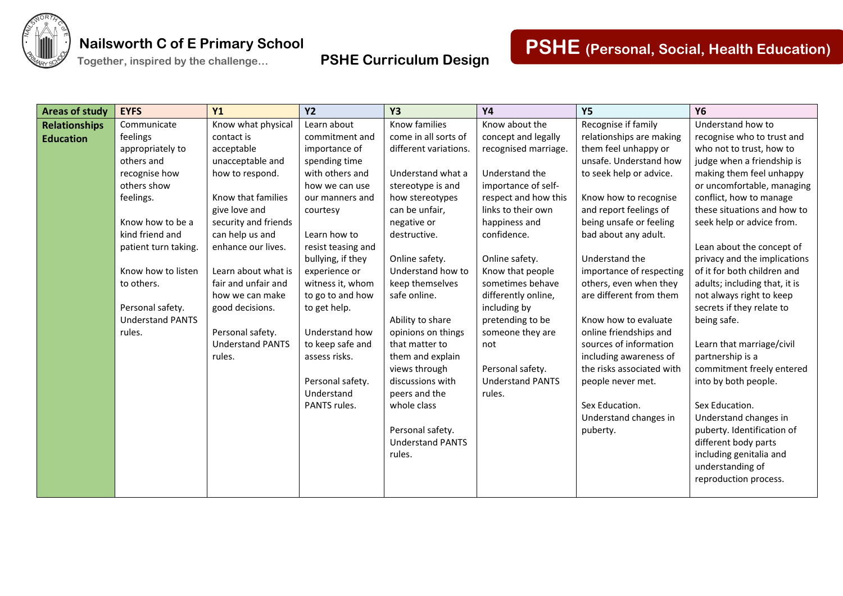

**Together, inspired by the challenge… PSHE Curriculum Design**

| <b>Areas of study</b> | <b>EYFS</b>             | Y1                      | <b>Y2</b>          | <b>Y3</b>               | <b>Y4</b>               | <b>Y5</b>                 | <b>Y6</b>                     |
|-----------------------|-------------------------|-------------------------|--------------------|-------------------------|-------------------------|---------------------------|-------------------------------|
| <b>Relationships</b>  | Communicate             | Know what physical      | Learn about        | Know families           | Know about the          | Recognise if family       | Understand how to             |
| <b>Education</b>      | feelings                | contact is              | commitment and     | come in all sorts of    | concept and legally     | relationships are making  | recognise who to trust and    |
|                       | appropriately to        | acceptable              | importance of      | different variations.   | recognised marriage.    | them feel unhappy or      | who not to trust, how to      |
|                       | others and              | unacceptable and        | spending time      |                         |                         | unsafe. Understand how    | judge when a friendship is    |
|                       | recognise how           | how to respond.         | with others and    | Understand what a       | Understand the          | to seek help or advice.   | making them feel unhappy      |
|                       | others show             |                         | how we can use     | stereotype is and       | importance of self-     |                           | or uncomfortable, managing    |
|                       | feelings.               | Know that families      | our manners and    | how stereotypes         | respect and how this    | Know how to recognise     | conflict, how to manage       |
|                       |                         | give love and           | courtesy           | can be unfair,          | links to their own      | and report feelings of    | these situations and how to   |
|                       | Know how to be a        | security and friends    |                    | negative or             | happiness and           | being unsafe or feeling   | seek help or advice from.     |
|                       | kind friend and         | can help us and         | Learn how to       | destructive.            | confidence.             | bad about any adult.      |                               |
|                       | patient turn taking.    | enhance our lives.      | resist teasing and |                         |                         |                           | Lean about the concept of     |
|                       |                         |                         | bullying, if they  | Online safety.          | Online safety.          | Understand the            | privacy and the implications  |
|                       | Know how to listen      | Learn about what is     | experience or      | Understand how to       | Know that people        | importance of respecting  | of it for both children and   |
|                       | to others.              | fair and unfair and     | witness it, whom   | keep themselves         | sometimes behave        | others, even when they    | adults; including that, it is |
|                       |                         | how we can make         | to go to and how   | safe online.            | differently online,     | are different from them   | not always right to keep      |
|                       | Personal safety.        | good decisions.         | to get help.       |                         | including by            |                           | secrets if they relate to     |
|                       | <b>Understand PANTS</b> |                         |                    | Ability to share        | pretending to be        | Know how to evaluate      | being safe.                   |
|                       | rules.                  | Personal safety.        | Understand how     | opinions on things      | someone they are        | online friendships and    |                               |
|                       |                         | <b>Understand PANTS</b> | to keep safe and   | that matter to          | not                     | sources of information    | Learn that marriage/civil     |
|                       |                         | rules.                  | assess risks.      | them and explain        |                         | including awareness of    | partnership is a              |
|                       |                         |                         |                    | views through           | Personal safety.        | the risks associated with | commitment freely entered     |
|                       |                         |                         | Personal safety.   | discussions with        | <b>Understand PANTS</b> | people never met.         | into by both people.          |
|                       |                         |                         | Understand         | peers and the           | rules.                  |                           |                               |
|                       |                         |                         | PANTS rules.       | whole class             |                         | Sex Education.            | Sex Education.                |
|                       |                         |                         |                    |                         |                         | Understand changes in     | Understand changes in         |
|                       |                         |                         |                    | Personal safety.        |                         | puberty.                  | puberty. Identification of    |
|                       |                         |                         |                    | <b>Understand PANTS</b> |                         |                           | different body parts          |
|                       |                         |                         |                    | rules.                  |                         |                           | including genitalia and       |
|                       |                         |                         |                    |                         |                         |                           | understanding of              |
|                       |                         |                         |                    |                         |                         |                           | reproduction process.         |
|                       |                         |                         |                    |                         |                         |                           |                               |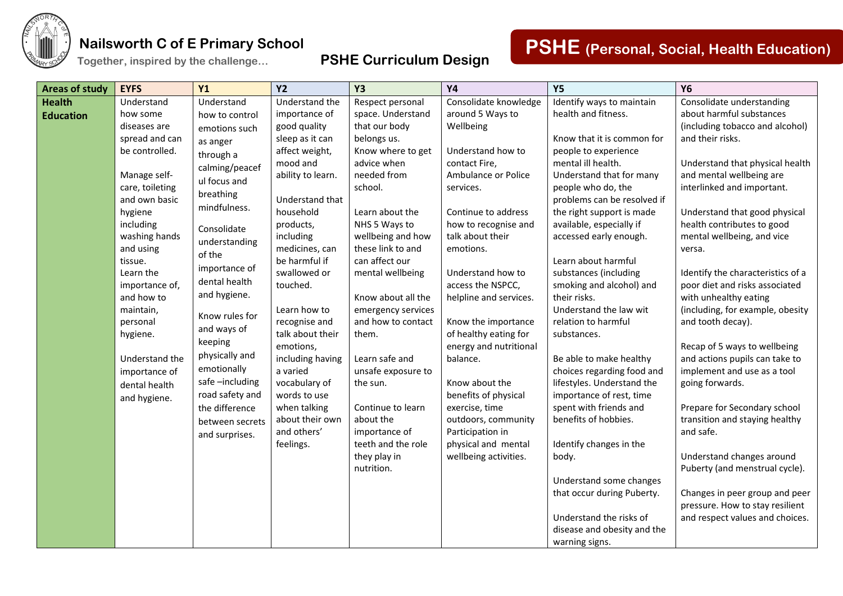

**Together, inspired by the challenge… PSHE Curriculum Design**

# **PSHE (Personal, Social, Health Education)**

| <b>Areas of study</b> | <b>EYFS</b>                | <b>Y1</b>       | <b>Y2</b>              | <b>Y3</b>                          | <b>Y4</b>                                | <b>Y5</b>                   | <b>Y6</b>                                                |
|-----------------------|----------------------------|-----------------|------------------------|------------------------------------|------------------------------------------|-----------------------------|----------------------------------------------------------|
| <b>Health</b>         | Understand                 | Understand      | Understand the         | Respect personal                   | Consolidate knowledge                    | Identify ways to maintain   | Consolidate understanding                                |
| <b>Education</b>      | how some                   | how to control  | importance of          | space. Understand                  | around 5 Ways to                         | health and fitness.         | about harmful substances                                 |
|                       | diseases are               | emotions such   | good quality           | that our body                      | Wellbeing                                |                             | (including tobacco and alcohol)                          |
|                       | spread and can             | as anger        | sleep as it can        | belongs us.                        |                                          | Know that it is common for  | and their risks.                                         |
|                       | be controlled.             | through a       | affect weight,         | Know where to get                  | Understand how to                        | people to experience        |                                                          |
|                       |                            | calming/peacef  | mood and               | advice when                        | contact Fire,                            | mental ill health.          | Understand that physical health                          |
|                       | Manage self-               | ul focus and    | ability to learn.      | needed from                        | Ambulance or Police                      | Understand that for many    | and mental wellbeing are                                 |
|                       | care, toileting            | breathing       |                        | school.                            | services.                                | people who do, the          | interlinked and important.                               |
|                       | and own basic              | mindfulness.    | Understand that        |                                    |                                          | problems can be resolved if |                                                          |
|                       | hygiene                    |                 | household              | Learn about the                    | Continue to address                      | the right support is made   | Understand that good physical                            |
|                       | including<br>washing hands | Consolidate     | products,<br>including | NHS 5 Ways to<br>wellbeing and how | how to recognise and<br>talk about their | available, especially if    | health contributes to good<br>mental wellbeing, and vice |
|                       | and using                  | understanding   | medicines, can         | these link to and                  | emotions.                                | accessed early enough.      | versa.                                                   |
|                       | tissue.                    | of the          | be harmful if          | can affect our                     |                                          | Learn about harmful         |                                                          |
|                       | Learn the                  | importance of   | swallowed or           | mental wellbeing                   | Understand how to                        | substances (including       | Identify the characteristics of a                        |
|                       | importance of,             | dental health   | touched.               |                                    | access the NSPCC,                        | smoking and alcohol) and    | poor diet and risks associated                           |
|                       | and how to                 | and hygiene.    |                        | Know about all the                 | helpline and services.                   | their risks.                | with unhealthy eating                                    |
|                       | maintain,                  |                 | Learn how to           | emergency services                 |                                          | Understand the law wit      | (including, for example, obesity                         |
|                       | personal                   | Know rules for  | recognise and          | and how to contact                 | Know the importance                      | relation to harmful         | and tooth decay).                                        |
|                       | hygiene.                   | and ways of     | talk about their       | them.                              | of healthy eating for                    | substances.                 |                                                          |
|                       |                            | keeping         | emotions,              |                                    | energy and nutritional                   |                             | Recap of 5 ways to wellbeing                             |
|                       | Understand the             | physically and  | including having       | Learn safe and                     | balance.                                 | Be able to make healthy     | and actions pupils can take to                           |
|                       | importance of              | emotionally     | a varied               | unsafe exposure to                 |                                          | choices regarding food and  | implement and use as a tool                              |
|                       | dental health              | safe-including  | vocabulary of          | the sun.                           | Know about the                           | lifestyles. Understand the  | going forwards.                                          |
|                       | and hygiene.               | road safety and | words to use           |                                    | benefits of physical                     | importance of rest, time    |                                                          |
|                       |                            | the difference  | when talking           | Continue to learn                  | exercise, time                           | spent with friends and      | Prepare for Secondary school                             |
|                       |                            | between secrets | about their own        | about the                          | outdoors, community                      | benefits of hobbies.        | transition and staying healthy                           |
|                       |                            | and surprises.  | and others'            | importance of                      | Participation in                         |                             | and safe.                                                |
|                       |                            |                 | feelings.              | teeth and the role                 | physical and mental                      | Identify changes in the     |                                                          |
|                       |                            |                 |                        | they play in                       | wellbeing activities.                    | body.                       | Understand changes around                                |
|                       |                            |                 |                        | nutrition.                         |                                          |                             | Puberty (and menstrual cycle).                           |
|                       |                            |                 |                        |                                    |                                          | Understand some changes     |                                                          |
|                       |                            |                 |                        |                                    |                                          | that occur during Puberty.  | Changes in peer group and peer                           |
|                       |                            |                 |                        |                                    |                                          |                             | pressure. How to stay resilient                          |
|                       |                            |                 |                        |                                    |                                          | Understand the risks of     | and respect values and choices.                          |
|                       |                            |                 |                        |                                    |                                          | disease and obesity and the |                                                          |
|                       |                            |                 |                        |                                    |                                          | warning signs.              |                                                          |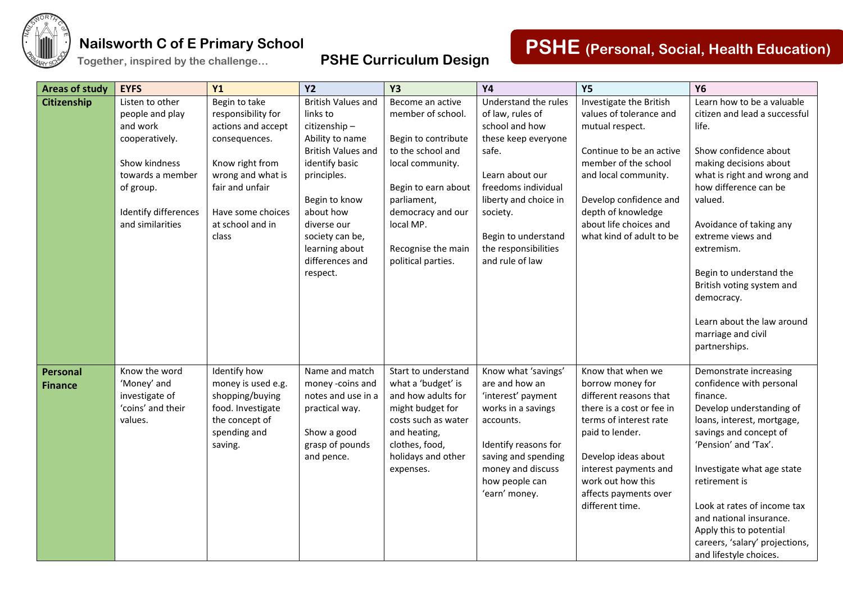

**Together, inspired by the challenge… PSHE Curriculum Design**

| <b>Areas of study</b> | <b>EYFS</b>                       | Y1                                   | <b>Y2</b>                      | <b>Y3</b>                      | <b>Y4</b>             | <b>Y5</b>                 | <b>Y6</b>                                            |
|-----------------------|-----------------------------------|--------------------------------------|--------------------------------|--------------------------------|-----------------------|---------------------------|------------------------------------------------------|
| <b>Citizenship</b>    | Listen to other                   | Begin to take                        | <b>British Values and</b>      | Become an active               | Understand the rules  | Investigate the British   | Learn how to be a valuable                           |
|                       | people and play                   | responsibility for                   | links to                       | member of school.              | of law, rules of      | values of tolerance and   | citizen and lead a successful                        |
|                       | and work                          | actions and accept                   | citizenship-                   |                                | school and how        | mutual respect.           | life.                                                |
|                       | cooperatively.                    | consequences.                        | Ability to name                | Begin to contribute            | these keep everyone   |                           |                                                      |
|                       |                                   |                                      | <b>British Values and</b>      | to the school and              | safe.                 | Continue to be an active  | Show confidence about                                |
|                       | Show kindness<br>towards a member | Know right from                      | identify basic                 | local community.               | Learn about our       | member of the school      | making decisions about                               |
|                       | of group.                         | wrong and what is<br>fair and unfair | principles.                    | Begin to earn about            | freedoms individual   | and local community.      | what is right and wrong and<br>how difference can be |
|                       |                                   |                                      | Begin to know                  | parliament,                    | liberty and choice in | Develop confidence and    | valued.                                              |
|                       | Identify differences              | Have some choices                    | about how                      | democracy and our              | society.              | depth of knowledge        |                                                      |
|                       | and similarities                  | at school and in                     | diverse our                    | local MP.                      |                       | about life choices and    | Avoidance of taking any                              |
|                       |                                   | class                                | society can be,                |                                | Begin to understand   | what kind of adult to be  | extreme views and                                    |
|                       |                                   |                                      | learning about                 | Recognise the main             | the responsibilities  |                           | extremism.                                           |
|                       |                                   |                                      | differences and                | political parties.             | and rule of law       |                           |                                                      |
|                       |                                   |                                      | respect.                       |                                |                       |                           | Begin to understand the                              |
|                       |                                   |                                      |                                |                                |                       |                           | British voting system and                            |
|                       |                                   |                                      |                                |                                |                       |                           | democracy.                                           |
|                       |                                   |                                      |                                |                                |                       |                           |                                                      |
|                       |                                   |                                      |                                |                                |                       |                           | Learn about the law around<br>marriage and civil     |
|                       |                                   |                                      |                                |                                |                       |                           | partnerships.                                        |
|                       |                                   |                                      |                                |                                |                       |                           |                                                      |
| Personal              | Know the word                     | Identify how                         | Name and match                 | Start to understand            | Know what 'savings'   | Know that when we         | Demonstrate increasing                               |
| <b>Finance</b>        | 'Money' and                       | money is used e.g.                   | money -coins and               | what a 'budget' is             | are and how an        | borrow money for          | confidence with personal                             |
|                       | investigate of                    | shopping/buying                      | notes and use in a             | and how adults for             | 'interest' payment    | different reasons that    | finance.                                             |
|                       | 'coins' and their                 | food. Investigate                    | practical way.                 | might budget for               | works in a savings    | there is a cost or fee in | Develop understanding of                             |
|                       | values.                           | the concept of                       |                                | costs such as water            | accounts.             | terms of interest rate    | loans, interest, mortgage,                           |
|                       |                                   | spending and<br>saving.              | Show a good<br>grasp of pounds | and heating,<br>clothes, food, | Identify reasons for  | paid to lender.           | savings and concept of<br>'Pension' and 'Tax'.       |
|                       |                                   |                                      | and pence.                     | holidays and other             | saving and spending   | Develop ideas about       |                                                      |
|                       |                                   |                                      |                                | expenses.                      | money and discuss     | interest payments and     | Investigate what age state                           |
|                       |                                   |                                      |                                |                                | how people can        | work out how this         | retirement is                                        |
|                       |                                   |                                      |                                |                                | 'earn' money.         | affects payments over     |                                                      |
|                       |                                   |                                      |                                |                                |                       | different time.           | Look at rates of income tax                          |
|                       |                                   |                                      |                                |                                |                       |                           | and national insurance.                              |
|                       |                                   |                                      |                                |                                |                       |                           | Apply this to potential                              |
|                       |                                   |                                      |                                |                                |                       |                           | careers, 'salary' projections,                       |
|                       |                                   |                                      |                                |                                |                       |                           | and lifestyle choices.                               |